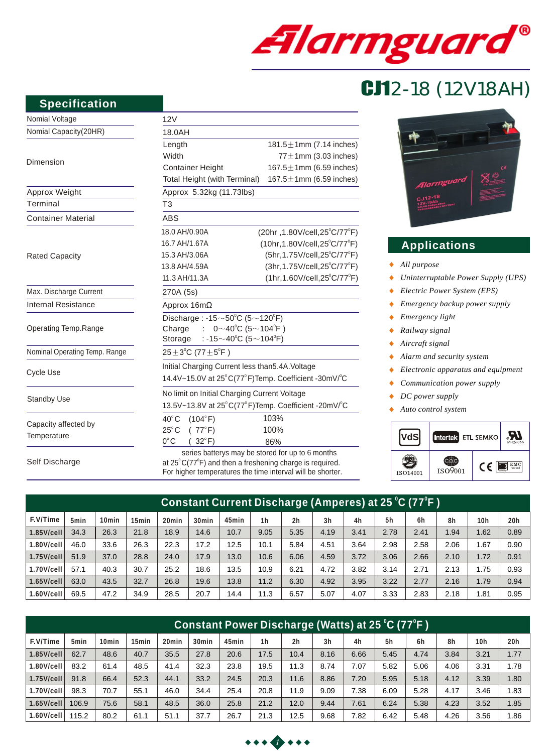

# CJ12-18 (12V18AH)

#### **Specification**

| Nomial Voltage                | 12V                                                                                                                              |                                               |  |  |  |  |  |  |  |
|-------------------------------|----------------------------------------------------------------------------------------------------------------------------------|-----------------------------------------------|--|--|--|--|--|--|--|
| Nomial Capacity(20HR)         | 18.0AH                                                                                                                           |                                               |  |  |  |  |  |  |  |
|                               | Length                                                                                                                           | 181.5 $\pm$ 1mm (7.14 inches)                 |  |  |  |  |  |  |  |
|                               | Width                                                                                                                            | $77 \pm 1$ mm (3.03 inches)                   |  |  |  |  |  |  |  |
| Dimension                     | <b>Container Height</b>                                                                                                          | 167.5 $\pm$ 1mm (6.59 inches)                 |  |  |  |  |  |  |  |
|                               | Total Height (with Terminal)                                                                                                     | 167.5 $\pm$ 1mm (6.59 inches)                 |  |  |  |  |  |  |  |
| Approx Weight                 | Approx 5.32kg (11.73lbs)                                                                                                         |                                               |  |  |  |  |  |  |  |
| Terminal                      | T3                                                                                                                               |                                               |  |  |  |  |  |  |  |
| <b>Container Material</b>     | <b>ABS</b>                                                                                                                       |                                               |  |  |  |  |  |  |  |
|                               | 18.0 AH/0.90A                                                                                                                    | (20hr, 1.80V/cell, 25°C/77°F)                 |  |  |  |  |  |  |  |
|                               | 16.7 AH/1.67A                                                                                                                    | $(10hr, 1.80V/cell, 25^{\circ}C/77^{\circ}F)$ |  |  |  |  |  |  |  |
| <b>Rated Capacity</b>         | 15.3 AH/3.06A                                                                                                                    | (5hr, 1.75V/cell, 25°C/77°F)                  |  |  |  |  |  |  |  |
|                               | 13.8 AH/4.59A                                                                                                                    | (3hr, 1.75V/cell, 25°C/77°F)                  |  |  |  |  |  |  |  |
|                               | 11.3 AH/11.3A                                                                                                                    | $(1hr, 1.60V/cell, 25^{\circ}C/77^{\circ}F)$  |  |  |  |  |  |  |  |
| Max. Discharge Current        | 270A (5s)                                                                                                                        |                                               |  |  |  |  |  |  |  |
| <b>Internal Resistance</b>    | Approx 16mΩ                                                                                                                      |                                               |  |  |  |  |  |  |  |
|                               | Discharge: -15 $\sim$ 50 $\degree$ C (5 $\sim$ 120 $\degree$ F)                                                                  |                                               |  |  |  |  |  |  |  |
| Operating Temp.Range          | Charge : $0 \sim 40^{\circ}$ C (5 ~ 104 <sup>°</sup> F)                                                                          |                                               |  |  |  |  |  |  |  |
|                               | : -15 $\sim$ 40°C (5 $\sim$ 104°F)<br>Storage                                                                                    |                                               |  |  |  |  |  |  |  |
| Nominal Operating Temp. Range | $25 \pm 3^{\circ}$ C (77 $\pm 5^{\circ}$ F)                                                                                      |                                               |  |  |  |  |  |  |  |
|                               | Initial Charging Current less than 5.4A. Voltage                                                                                 |                                               |  |  |  |  |  |  |  |
| <b>Cycle Use</b>              | 14.4V~15.0V at 25°C(77°F)Temp. Coefficient -30mV/°C                                                                              |                                               |  |  |  |  |  |  |  |
|                               | No limit on Initial Charging Current Voltage                                                                                     |                                               |  |  |  |  |  |  |  |
| <b>Standby Use</b>            | 13.5V~13.8V at 25°C(77°F)Temp. Coefficient -20mV/°C                                                                              |                                               |  |  |  |  |  |  |  |
|                               | $40^{\circ}$ C<br>(104°F)                                                                                                        | 103%                                          |  |  |  |  |  |  |  |
| Capacity affected by          | $25^{\circ}$ C<br>(77°F)                                                                                                         | 100%                                          |  |  |  |  |  |  |  |
| Temperature                   | $0^{\circ}$ C<br>$32^{\circ}$ F)                                                                                                 | 86%                                           |  |  |  |  |  |  |  |
| Self Discharge                | series batterys may be stored for up to 6 months<br>at $25^{\circ}$ C(77 $^{\circ}$ F) and then a freshening charge is required. |                                               |  |  |  |  |  |  |  |

at  $25^{\circ}$ C(77 $^{\circ}$ F) and then a freshening charge is required. For higher temperatures the time interval will be shorter.



## **Applications**

- *All purpose*  $\bullet$
- *Uninterruptable Power Supply (UPS)*  $\ddot{\bullet}$
- *Electric Power System (EPS)*  $\bullet$
- *Emergency backup power supply*  $\bullet$
- $\bullet$ *Emergency light*
- $\bullet$ *Railway signal*
- *Aircraft signal*  $\bullet$
- $\bullet$ *Alarm and security system*
- *Electronic apparatus and equipment*  $\bullet$
- *Communication power supply*  $\bullet$
- $\bullet$ *DC power supply*
- $\ddot{\bullet}$ *Auto control system*



| Constant Current Discharge (Amperes) a <u>t 25</u> °C (77°F ) |                  |                   |                   |       |                   |       |                |                |                |      |      |      |      |                 |                 |
|---------------------------------------------------------------|------------------|-------------------|-------------------|-------|-------------------|-------|----------------|----------------|----------------|------|------|------|------|-----------------|-----------------|
| F.V/Time                                                      | 5 <sub>min</sub> | 10 <sub>min</sub> | 15 <sub>min</sub> | 20min | 30 <sub>min</sub> | 45min | 1 <sub>h</sub> | 2 <sub>h</sub> | 3 <sub>h</sub> | 4h   | 5h   | 6h   | 8h   | 10 <sub>h</sub> | 20 <sub>h</sub> |
| $1.85$ V/cell                                                 | 34.3             | 26.3              | 21.8              | 18.9  | 14.6              | 10.7  | 9.05           | 5.35           | 4.19           | 3.41 | 2.78 | 2.41 | 1.94 | 1.62            | 0.89            |
| $1.80$ V/cell                                                 | 46.0             | 33.6              | 26.3              | 22.3  | 17.2              | 12.5  | 10.1           | 5.84           | 4.51           | 3.64 | 2.98 | 2.58 | 2.06 | 1.67            | 0.90            |
| $1.75$ V/cell                                                 | 51.9             | 37.0              | 28.8              | 24.0  | 17.9              | 13.0  | 10.6           | 6.06           | 4.59           | 3.72 | 3.06 | 2.66 | 2.10 | 1.72            | 0.91            |
| $1.70$ V/cell                                                 | 57.1             | 40.3              | 30.7              | 25.2  | 18.6              | 13.5  | 10.9           | 6.21           | 4.72           | 3.82 | 3.14 | 2.71 | 2.13 | 1.75            | 0.93            |
| $1.65$ V/cell                                                 | 63.0             | 43.5              | 32.7              | 26.8  | 19.6              | 13.8  | 11.2           | 6.30           | 4.92           | 3.95 | 3.22 | 2.77 | 2.16 | 1.79            | 0.94            |
| $1.60$ V/cell                                                 | 69.5             | 47.2              | 34.9              | 28.5  | 20.7              | 14.4  | 11.3           | 6.57           | 5.07           | 4.07 | 3.33 | 2.83 | 2.18 | 81.،            | 0.95            |

| (Constant Power Discharge (Watts) at 25 °C (77°F ) |                  |                   |                   |                   |                   |       |                |      |                |      |      |      |      |                 |      |
|----------------------------------------------------|------------------|-------------------|-------------------|-------------------|-------------------|-------|----------------|------|----------------|------|------|------|------|-----------------|------|
| F.V/Time                                           | 5 <sub>min</sub> | 10 <sub>min</sub> | 15 <sub>min</sub> | 20 <sub>min</sub> | 30 <sub>min</sub> | 45min | 1 <sub>h</sub> | 2h   | 3 <sub>h</sub> | 4h   | 5h   | 6h   | 8h   | 10 <sub>h</sub> | 20h  |
| $1.85$ V/cell                                      | 62.7             | 48.6              | 40.7              | 35.5              | 27.8              | 20.6  | 17.5           | 10.4 | 8.16           | 6.66 | 5.45 | 4.74 | 3.84 | 3.21            | 1.77 |
| $1.80$ V/cell                                      | 83.2             | 61.4              | 48.5              | 41.4              | 32.3              | 23.8  | 19.5           | 11.3 | 8.74           | 7.07 | 5.82 | 5.06 | 4.06 | 3.31            | 1.78 |
| 1.75V/cell                                         | 91.8             | 66.4              | 52.3              | 44.1              | 33.2              | 24.5  | 20.3           | 11.6 | 8.86           | 7.20 | 5.95 | 5.18 | 4.12 | 3.39            | 1.80 |
| 1.70V/cell                                         | 98.3             | 70.7              | 55.1              | 46.0              | 34.4              | 25.4  | 20.8           | 11.9 | 9.09           | 7.38 | 6.09 | 5.28 | 4.17 | 3.46            | 1.83 |
| $1.65$ V/cell                                      | 106.9            | 75.6              | 58.1              | 48.5              | 36.0              | 25.8  | 21.2           | 12.0 | 9.44           | 7.61 | 6.24 | 5.38 | 4.23 | 3.52            | 1.85 |
| $1.60$ V/cell                                      | 115.2            | 80.2              | 61.1              | 51.1              | 37.7              | 26.7  | 21.3           | 12.5 | 9.68           | 7.82 | 6.42 | 5.48 | 4.26 | 3.56            | 1.86 |